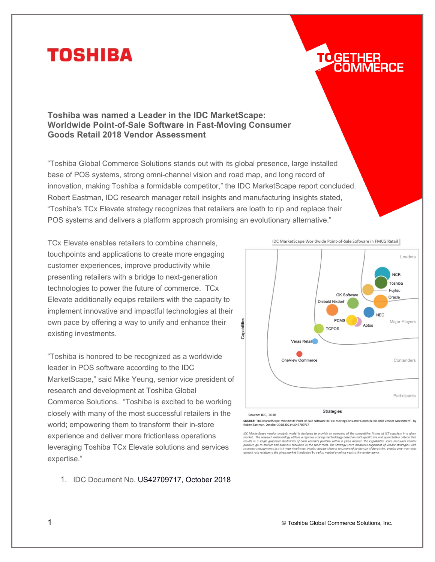## **TOSHIBA**

# TOGETHER

**Toshiba was named a Leader in the IDC MarketScape: Worldwide Point-of-Sale Software in Fast-Moving Consumer Goods Retail 2018 Vendor Assessment**

"Toshiba Global Commerce Solutions stands out with its global presence, large installed base of POS systems, strong omni-channel vision and road map, and long record of innovation, making Toshiba a formidable competitor," the IDC MarketScape report concluded. Robert Eastman, IDC research manager retail insights and manufacturing insights stated, "Toshiba's TCx Elevate strategy recognizes that retailers are loath to rip and replace their POS systems and delivers a platform approach promising an evolutionary alternative."

TCx Elevate enables retailers to combine channels, touchpoints and applications to create more engaging customer experiences, improve productivity while presenting retailers with a bridge to next-generation technologies to power the future of commerce. TCx Elevate additionally equips retailers with the capacity to implement innovative and impactful technologies at their own pace by offering a way to unify and enhance their existing investments.

"Toshiba is honored to be recognized as a worldwide leader in POS software according to the IDC MarketScape," said Mike Yeung, senior vice president of research and development at Toshiba Global Commerce Solutions. "Toshiba is excited to be working closely with many of the most successful retailers in the world; empowering them to transform their in-store experience and deliver more frictionless operations leveraging Toshiba TCx Elevate solutions and services expertise."

1. IDC Document No. US42709717, October 2018



IDC MarketScape Worldwide Point-of-Sale Software in FMCG Retail

SOURCE: "IDC MarketScape: Worldwide Point-of-Sale Software in Fast-Moving Consumer Goods Retail 2018 Vendor Assessment", by<br>Robert Eastman, October 2018, IDC # US42709717

IDC MarketScape vendor analysis model is designed to provide an overview of the competitive fitness of ICT suppliers in a given For waterscoape ventor dangers are<br>then the proposed on both parallative and quantitative criteria that<br>market. The research methodology utilizes a rigorous scoring methodology based on both painthative and quantitative a